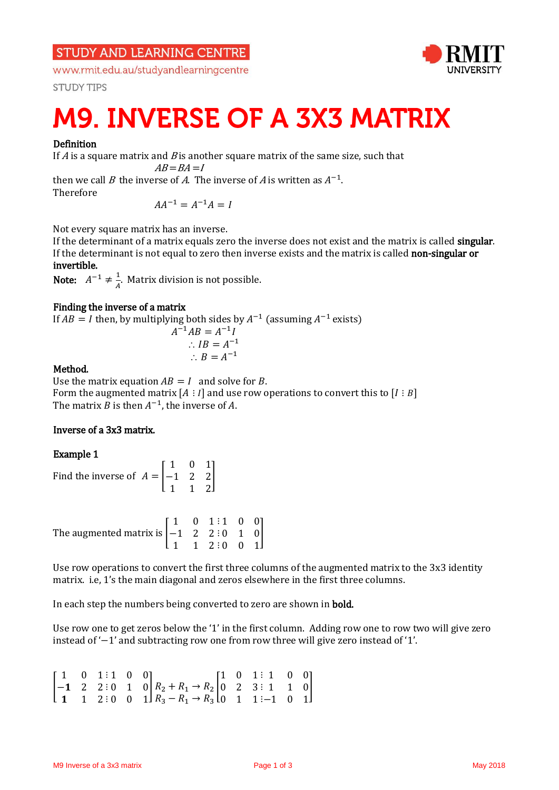**STUDY AND LEARNING CENTRE** 

www.rmit.edu.au/studyandlearningcentre

**STUDY TIPS** 



# **M9. INVERSE OF A 3X3 MATRIX**

### Definition

If  $A$  is a square matrix and  $B$  is another square matrix of the same size, such that

 $AB = BA = I$ 

then we call B the inverse of A. The inverse of A is written as  $A^{-1}$ .

Therefore

 $AA^{-1} = A^{-1}A = I$ 

Not every square matrix has an inverse.

If the determinant of a matrix equals zero the inverse does not exist and the matrix is called singular. If the determinant is not equal to zero then inverse exists and the matrix is called non-singular or invertible.

Note:  $A^{-1} \neq \frac{1}{4}$  $\frac{1}{A}$ . Matrix division is not possible.

### Finding the inverse of a matrix

If  $AB = I$  then, by multiplying both sides by  $A^{-1}$  (assuming  $A^{-1}$  exists)  $\overline{A}$  $^{-1}AB = A^{-1}I$ 

$$
\therefore IB = A^{-1}
$$

$$
\therefore B = A^{-1}
$$

$$
\therefore B = A^{-1}
$$

## Method.

Use the matrix equation  $AB = I$  and solve for B. Form the augmented matrix  $[A : I]$  and use row operations to convert this to  $[I : B]$ The matrix *B* is then  $A^{-1}$ , the inverse of *A*.

### Inverse of a 3x3 matrix.

### Example 1

|                                                                    | $101$ 0 11                                |  |
|--------------------------------------------------------------------|-------------------------------------------|--|
| Find the inverse of $A = \begin{vmatrix} -1 & 2 & 2 \end{vmatrix}$ |                                           |  |
|                                                                    | $\begin{bmatrix} 1 & 1 & 2 \end{bmatrix}$ |  |

The augmented matrix is  $\vert$ 1 0 1 −1 2 2 1 1 2 ⋮ ⋮ ⋮ 1 0 0 0 1 0 0 0 1 ]

Use row operations to convert the first three columns of the augmented matrix to the 3x3 identity matrix. i.e, 1's the main diagonal and zeros elsewhere in the first three columns.

In each step the numbers being converted to zero are shown in **bold**.

Use row one to get zeros below the '1' in the first column. Adding row one to row two will give zero instead of '−1' and subtracting row one from row three will give zero instead of '1'.

|  |  | $\begin{bmatrix} 1 & 0 & 1 & 1 & 0 & 0 \\ -1 & 2 & 2 & 0 & 1 & 0 \\ 0 & 0 & 0 & 0 & 0 \\ 0 & 0 & 0 & 0 & 0 \\ 0 & 0 & 0 & 0 & 0 \\ 0 & 0 & 0 & 0 & 0 \\ 0 & 0 & 0 & 0 & 0 \\ 0 & 0 & 0 & 0 & 0 \\ 0 & 0 & 0 & 0 & 0 \\ 0 & 0 & 0 & 0 & 0 \\ 0 & 0 & 0 & 0 & 0 \\ 0 & 0 & 0 & 0 & 0 \\ 0 & 0 & 0 & 0 & 0 & 0 \\ 0 & 0 & 0 & $ |  |  |  |
|--|--|------------------------------------------------------------------------------------------------------------------------------------------------------------------------------------------------------------------------------------------------------------------------------------------------------------------------------|--|--|--|
|  |  | 1 1 2:0 0 1 $R_3 - R_1 \rightarrow R_3$ [0 1 1 :-1 0 1]                                                                                                                                                                                                                                                                      |  |  |  |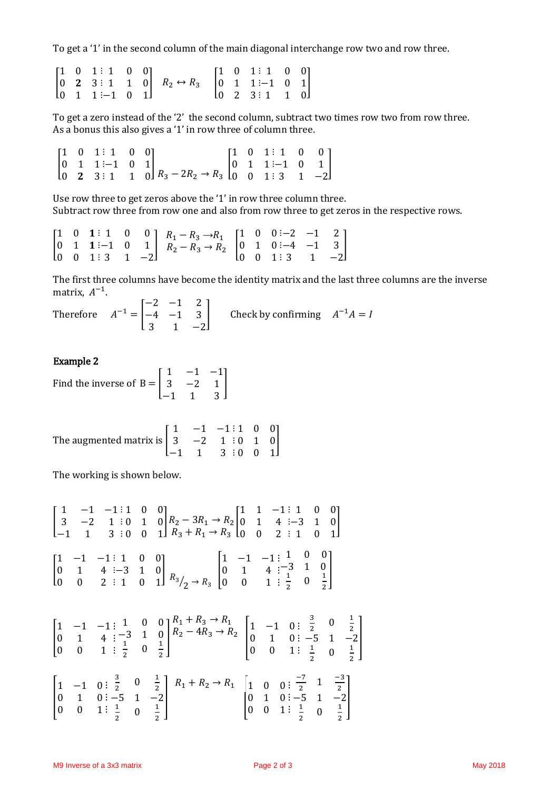To get a '1' in the second column of the main diagonal interchange row two and row three.

|  | $\begin{bmatrix} 1 & 0 & 1 \\ 1 & 1 & 0 & 0 \end{bmatrix}$ |  |                                                                                                                                                                                                                                                  |  | $\begin{bmatrix} 1 & 0 & 1 \\ 1 & 1 & 0 \end{bmatrix}$ |  |
|--|------------------------------------------------------------|--|--------------------------------------------------------------------------------------------------------------------------------------------------------------------------------------------------------------------------------------------------|--|--------------------------------------------------------|--|
|  |                                                            |  | $\begin{bmatrix} 0 & 2 & 3 & 1 & 1 & 0 \\ 0 & 1 & 1 & -1 & 0 & 1 \end{bmatrix}$ $\begin{matrix} R_2 \leftrightarrow R_3 \\ R_2 \leftrightarrow R_3 \end{matrix}$ $\begin{bmatrix} 0 & 1 & 1 & -1 & 0 & 1 \\ 0 & 2 & 3 & 1 & 1 & 0 \end{bmatrix}$ |  |                                                        |  |
|  |                                                            |  |                                                                                                                                                                                                                                                  |  |                                                        |  |

To get a zero instead of the '2' the second column, subtract two times row two from row three. As a bonus this also gives a '1' in row three of column three.

 $R_3 - 2R_2 \rightarrow R_3$  $\overline{\phantom{a}}$ 1 0 1 0 1 1  $0 \t2 \t3$ ⋮ ⋮ ⋮ 1 0 0 −1 0 1 1 1 0 ] [ 1 0 1 0 1 1 0 0 1 ⋮ ⋮ ⋮ 1 0 0 −1 0 1 3 1 −2  $\mathsf{l}$ 

Use row three to get zeros above the '1' in row three column three. Subtract row three from row one and also from row three to get zeros in the respective rows.

|  |  | $\begin{bmatrix} 1 & 0 & 1 & 1 & 0 & 0 \\ 0 & 1 & 1 & -1 & 0 & 1 \\ 0 & 0 & 1 & 3 & 1 & -2 \end{bmatrix} \xrightarrow{R_1 - R_3 \to R_1} \begin{bmatrix} 1 & 0 & 0 & -2 & -1 & 2 \\ 0 & 1 & 0 & -4 & -1 & 3 \\ 0 & 0 & 1 & 3 & 1 & -2 \end{bmatrix}$ |  |  |  |
|--|--|------------------------------------------------------------------------------------------------------------------------------------------------------------------------------------------------------------------------------------------------------|--|--|--|
|  |  |                                                                                                                                                                                                                                                      |  |  |  |

The first three columns have become the identity matrix and the last three columns are the inverse matrix,  $A^{-1}$ .

Therefore  $A^{-1} =$ −2 −1 2 −4 −1 3 3 1 −2 Check by confirming  $A^{-1}A = I$ 

#### Example 2

Find the inverse of 
$$
B = \begin{bmatrix} 1 & -1 & -1 \\ 3 & -2 & 1 \\ -1 & 1 & 3 \end{bmatrix}
$$

The augmented matrix is 
$$
\begin{bmatrix} 1 & -1 & -1 & \vdots 1 & 0 & 0 \\ 3 & -2 & 1 & \vdots 0 & 1 & 0 \\ -1 & 1 & 3 & \vdots 0 & 0 & 1 \end{bmatrix}
$$

The working is shown below.

$$
\begin{bmatrix} 1 & -1 & -1 & \vdots & 1 & 0 & 0 \\ 3 & -2 & 1 & \vdots & 0 & 1 & 0 \\ -1 & 1 & 3 & \vdots & 0 & 0 & 1 \end{bmatrix} \begin{matrix} R_2 - 3R_1 \rightarrow R_2 \\ R_3 + R_1 \rightarrow R_3 \end{matrix} \begin{bmatrix} 1 & 1 & -1 & \vdots & 1 & 0 & 0 \\ 0 & 1 & 4 & \vdots & -3 & 1 & 0 \\ 0 & 0 & 2 & \vdots & 1 & 0 & 1 \end{bmatrix}
$$
  
\n
$$
\begin{bmatrix} 1 & -1 & -1 & \vdots & 1 & 0 & 0 \\ 0 & 1 & 4 & \vdots & -3 & 1 & 0 \\ 0 & 0 & 2 & \vdots & 1 & 0 & 1 \end{bmatrix} \begin{matrix} R_3 \\ R_2 \rightarrow R_3 \end{matrix} \begin{bmatrix} 1 & -1 & -1 & \vdots & 1 & 0 & 0 \\ 0 & 1 & 4 & \vdots & -3 & 1 & 0 \\ 0 & 0 & 1 & \vdots & \vdots & 0 & \frac{1}{2} \end{bmatrix}
$$

$$
\begin{bmatrix} 1 & -1 & -1 & 1 & 0 & 0 \ 0 & 1 & 4 & -3 & 1 & 0 \ 0 & 0 & 1 & \frac{1}{2} & 0 & \frac{1}{2} \end{bmatrix} \begin{bmatrix} R_1 + R_3 \rightarrow R_1 \\ R_2 - 4R_3 \rightarrow R_2 \\ R_3 - 4R_3 \rightarrow R_2 \end{bmatrix} \begin{bmatrix} 1 & -1 & 0 & \frac{3}{2} & 0 & \frac{1}{2} \\ 0 & 1 & 0 & -5 & 1 & -2 \\ 0 & 0 & 1 & \frac{1}{2} & 0 & \frac{1}{2} \end{bmatrix}
$$
  
\n
$$
\begin{bmatrix} 1 & -1 & 0 & \frac{3}{2} & 0 & \frac{1}{2} \\ 0 & 1 & 0 & -5 & 1 & -2 \\ 0 & 0 & 1 & \frac{1}{2} & 0 & \frac{1}{2} \end{bmatrix} \begin{bmatrix} R_1 + R_2 \rightarrow R_1 \\ R_1 + R_2 \rightarrow R_1 \\ R_2 + R_2 \rightarrow R_1 \end{bmatrix} \begin{bmatrix} 1 & 0 & 0 & \frac{-7}{2} & 1 & \frac{-3}{2} \\ 0 & 1 & 0 & -5 & 1 & -2 \\ 0 & 0 & 1 & \frac{1}{2} & 0 & \frac{1}{2} \end{bmatrix}
$$